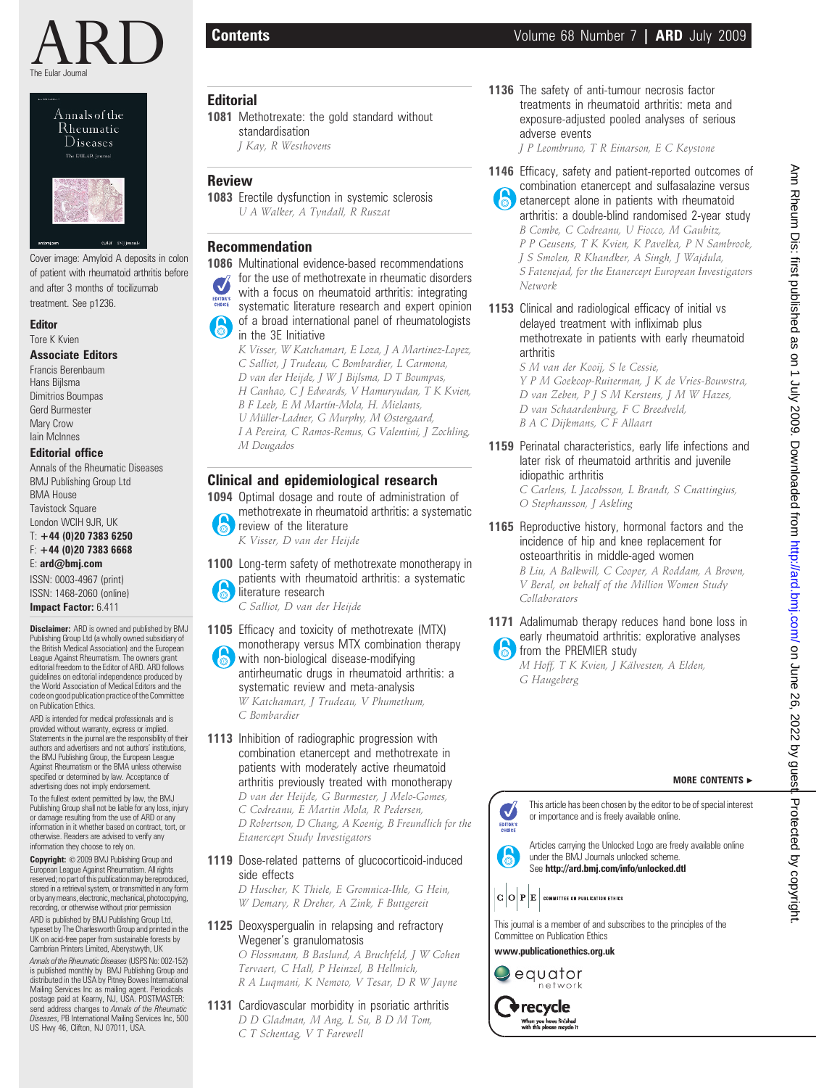

Annals of the Rheumatic **Diseases** The EULAR Journal



Cover image: Amyloid A deposits in colon of patient with rheumatoid arthritis before and after 3 months of tocilizumab treatment. See p1236.

Editor Tore K Kvien

#### Associate Editors

Francis Berenbaum Hans Bijlsma Dimitrios Boumpas Gerd Burmester Mary Crow Iain McInnes

### Editorial office

Annals of the Rheumatic Diseases BMJ Publishing Group Ltd BMA House **Tavistock Square** London WCIH 9JR, UK

#### T: +44 (0)20 7383 6250 F: +44 (0)20 7383 6668

E: ard@bmj.com ISSN: 0003-4967 (print)

ISSN: 1468-2060 (online) Impact Factor: 6.411

Disclaimer: ARD is owned and published by BMJ Publishing Group Ltd (a wholly owned subsidiary of the British Medical Association) and the European League Against Rheumatism. The owners grant editorial freedom to the Editor of ARD. ARD follows guidelines on editorial independence produced by the World Association of Medical Editors and the code on good publication practice of the Committee on Publication Ethics.

ARD is intended for medical professionals and is provided without warranty, express or implied. Statements in the journal are the responsibility of their authors and advertisers and not authors' institutions, the BMJ Publishing Group, the European League Against Rheumatism or the BMA unless otherwise specified or determined by law. Acceptance of advertising does not imply endorsement.

To the fullest extent permitted by law, the BMJ Publishing Group shall not be liable for any loss, injury or damage resulting from the use of ARD or any information in it whether based on contract, tort, or otherwise. Readers are advised to verify any information they choose to rely on.

Copyright: © 2009 BMJ Publishing Group and European League Against Rheumatism. All rights reserved; no part of this publication may be reproduced,<br>stored in a retrieval system, or transmitted in any form or by any means, electronic, mechanical, photocopying, recording, or otherwise without prior permission

ARD is published by BMJ Publishing Group Ltd, typeset by The Charlesworth Group and printed in the UK on acid-free paper from sustainable forests by Cambrian Printers Limited, Aberystwyth, UK

Annals of the Rheumatic Diseases(USPS No: 002-152) is published monthly by BMJ Publishing Group and distributed in the USA by Pitney Bowes International Mailing Services Inc as mailing agent. Periodicals postage paid at Kearny, NJ, USA. POSTMASTER: send address changes to Annals of the Rheumatic Diseases, PB International Mailing Services Inc, 500 US Hwy 46, Clifton, NJ 07011, USA.

# **Editorial**

1081 Methotrexate: the gold standard without standardisation J Kay, R Westhovens

# Review

1083 Erectile dysfunction in systemic sclerosis U A Walker, A Tyndall, R Ruszat

# Recommendation

1086 Multinational evidence-based recommendations for the use of methotrexate in rheumatic disorders with a focus on rheumatoid arthritis: integrating EDITOR'S systematic literature research and expert opinion of a broad international panel of rheumatologists 6 in the 3E Initiative K Visser, W Katchamart, E Loza, J A Martinez-Lopez,

C Salliot, J Trudeau, C Bombardier, L Carmona, D van der Heijde, J W J Bijlsma, D T Boumpas, H Canhao, C J Edwards, V Hamuryudan, T K Kvien, B F Leeb, E M Martín-Mola, H. Mielants, U Müller-Ladner, G Murphy, M Østergaard, I A Pereira, C Ramos-Remus, G Valentini, J Zochling, M Dougados

# Clinical and epidemiological research

1094 Optimal dosage and route of administration of methotrexate in rheumatoid arthritis: a systematic

 $\overline{\bullet}$ review of the literature K Visser, D van der Heijde

1100 Long-term safety of methotrexate monotherapy in patients with rheumatoid arthritis: a systematic 6 literature research

C Salliot, D van der Heijde

1105 Efficacy and toxicity of methotrexate (MTX) monotherapy versus MTX combination therapy with non-biological disease-modifying antirheumatic drugs in rheumatoid arthritis: a systematic review and meta-analysis W Katchamart, J Trudeau, V Phumethum,

C Bombardier

- 1113 Inhibition of radiographic progression with combination etanercept and methotrexate in patients with moderately active rheumatoid arthritis previously treated with monotherapy D van der Heijde, G Burmester, J Melo-Gomes, C Codreanu, E Martin Mola, R Pedersen, D Robertson, D Chang, A Koenig, B Freundlich for the Etanercept Study Investigators
- 1119 Dose-related patterns of glucocorticoid-induced side effects

D Huscher, K Thiele, E Gromnica-Ihle, G Hein, W Demary, R Dreher, A Zink, F Buttgereit

1125 Deoxyspergualin in relapsing and refractory Wegener's granulomatosis O Flossmann, B Baslund, A Bruchfeld, J W Cohen

Tervaert, C Hall, P Heinzel, B Hellmich, R A Luqmani, K Nemoto, V Tesar, D R W Jayne

1131 Cardiovascular morbidity in psoriatic arthritis D D Gladman, M Ang, L Su, B D M Tom, C T Schentag, V T Farewell

1136 The safety of anti-tumour necrosis factor treatments in rheumatoid arthritis: meta and exposure-adjusted pooled analyses of serious adverse events

J P Leombruno, T R Einarson, E C Keystone

- 1146 Efficacy, safety and patient-reported outcomes of combination etanercept and sulfasalazine versus etanercept alone in patients with rheumatoid arthritis: a double-blind randomised 2-year study B Combe, C Codreanu, U Fiocco, M Gaubitz, P P Geusens, T K Kvien, K Pavelka, P N Sambrook, J S Smolen, R Khandker, A Singh, J Wajdula, S Fatenejad, for the Etanercept European Investigators Network
- 1153 Clinical and radiological efficacy of initial vs delayed treatment with infliximab plus methotrexate in patients with early rheumatoid arthritis

S M van der Kooij, S le Cessie, Y P M Goekoop-Ruiterman, J K de Vries-Bouwstra, D van Zeben, P J S M Kerstens, J M W Hazes, D van Schaardenburg, F C Breedveld, B A C Dijkmans, C F Allaart

1159 Perinatal characteristics, early life infections and later risk of rheumatoid arthritis and juvenile idiopathic arthritis

C Carlens, L Jacobsson, L Brandt, S Cnattingius, O Stephansson, J Askling

1165 Reproductive history, hormonal factors and the incidence of hip and knee replacement for osteoarthritis in middle-aged women B Liu, A Balkwill, C Cooper, A Roddam, A Brown,

V Beral, on behalf of the Million Women Study Collaborators

1171 Adalimumab therapy reduces hand bone loss in early rheumatoid arthritis: explorative analyses from the PREMIER study

M Hoff, T K Kvien, J Kälvesten, A Elden, G Haugeberg

## MORE CONTENTS  $\blacktriangleright$

This article has been chosen by the editor to be of special interest  $\boldsymbol{J}$ or importance and is freely available online. EDITOR'S

Articles carrying the Unlocked Logo are freely available online under the BMJ Journals unlocked scheme. See http://ard.bmj.com/info/unlocked.dtl



This journal is a member of and subscribes to the principles of the Committee on Publication Ethics

www.publicationethics.org.uk



recycle When you have finished<br>with this please recycle it



 $\mathbf{b}$ 

equator